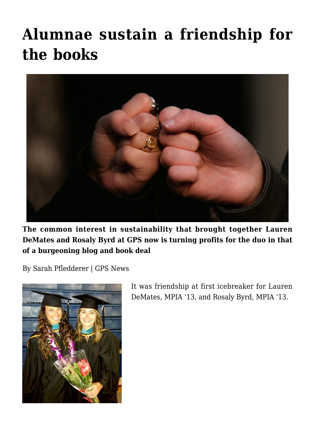## **[Alumnae sustain a friendship for](https://gpsnews.ucsd.edu/alumnas-sustain-a-friendship-for-the-books/) [the books](https://gpsnews.ucsd.edu/alumnas-sustain-a-friendship-for-the-books/)**



**The common interest in sustainability that brought together Lauren DeMates and Rosaly Byrd at GPS now is turning profits for the duo in that of a burgeoning blog and book deal**

By Sarah Pfledderer | GPS News



It was friendship at first icebreaker for Lauren DeMates, MPIA '13, and Rosaly Byrd, MPIA '13.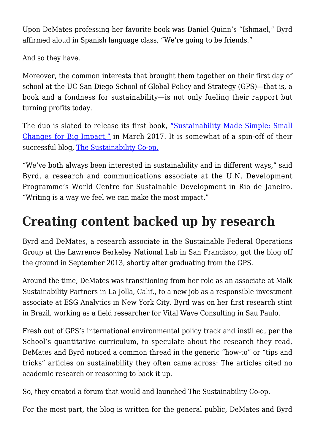Upon DeMates professing her favorite book was Daniel Quinn's "Ishmael," Byrd affirmed aloud in Spanish language class, "We're going to be friends."

And so they have.

Moreover, the common interests that brought them together on their first day of school at the UC San Diego School of Global Policy and Strategy (GPS)—that is, a book and a fondness for sustainability—is not only fueling their rapport but turning profits today.

The duo is slated to release its first book, ["Sustainability Made Simple: Small](https://www.amazon.ca/Sustainability-Made-Simple-Changes-Impact/dp/144226909X) [Changes for Big Impact,"](https://www.amazon.ca/Sustainability-Made-Simple-Changes-Impact/dp/144226909X) in March 2017. It is somewhat of a spin-off of their successful blog, [The Sustainability Co-op.](https://thesustainabilitycooperative.net/)

"We've both always been interested in sustainability and in different ways," said Byrd, a research and communications associate at the U.N. Development Programme's World Centre for Sustainable Development in Rio de Janeiro. "Writing is a way we feel we can make the most impact."

## **Creating content backed up by research**

Byrd and DeMates, a research associate in the Sustainable Federal Operations Group at the Lawrence Berkeley National Lab in San Francisco, got the blog off the ground in September 2013, shortly after graduating from the GPS.

Around the time, DeMates was transitioning from her role as an associate at Malk Sustainability Partners in La Jolla, Calif., to a new job as a responsible investment associate at ESG Analytics in New York City. Byrd was on her first research stint in Brazil, working as a field researcher for Vital Wave Consulting in Sau Paulo.

Fresh out of GPS's international environmental policy track and instilled, per the School's quantitative curriculum, to speculate about the research they read, DeMates and Byrd noticed a common thread in the generic "how-to" or "tips and tricks" articles on sustainability they often came across: The articles cited no academic research or reasoning to back it up.

So, they created a forum that would and launched The Sustainability Co-op.

For the most part, the blog is written for the general public, DeMates and Byrd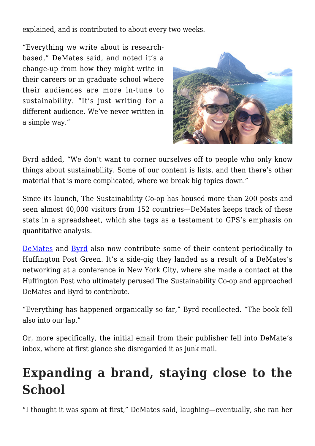explained, and is contributed to about every two weeks.

"Everything we write about is researchbased," DeMates said, and noted it's a change-up from how they might write in their careers or in graduate school where their audiences are more in-tune to sustainability. "It's just writing for a different audience. We've never written in a simple way."



Byrd added, "We don't want to corner ourselves off to people who only know things about sustainability. Some of our content is lists, and then there's other material that is more complicated, where we break big topics down."

Since its launch, The Sustainability Co-op has housed more than 200 posts and seen almost 40,000 visitors from 152 countries—DeMates keeps track of these stats in a spreadsheet, which she tags as a testament to GPS's emphasis on quantitative analysis.

[DeMates](http://www.huffingtonpost.com/author/lauren-demates) and [Byrd](http://www.huffingtonpost.com/author/rosaly-byrd) also now contribute some of their content periodically to Huffington Post Green. It's a side-gig they landed as a result of a DeMates's networking at a conference in New York City, where she made a contact at the Huffington Post who ultimately perused The Sustainability Co-op and approached DeMates and Byrd to contribute.

"Everything has happened organically so far," Byrd recollected. "The book fell also into our lap."

Or, more specifically, the initial email from their publisher fell into DeMate's inbox, where at first glance she disregarded it as junk mail.

## **Expanding a brand, staying close to the School**

"I thought it was spam at first," DeMates said, laughing—eventually, she ran her